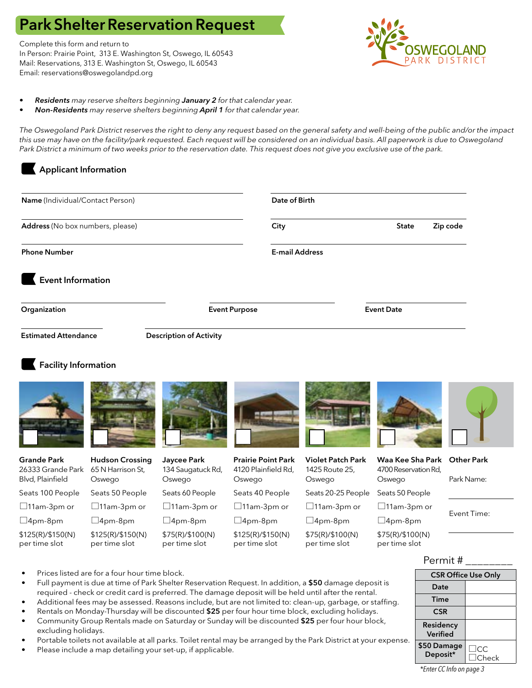# Park Shelter Reservation Request

Complete this form and return to In Person: Prairie Point, 313 E. Washington St, Oswego, IL 60543 Mail: Reservations, 313 E. Washington St, Oswego, IL 60543 Email: reservations@oswegolandpd.org



- *• Residents may reserve shelters beginning January 2 for that calendar year.*
- *• Non-Residents may reserve shelters beginning April 1 for that calendar year.*

*The Oswegoland Park District reserves the right to deny any request based on the general safety and well-being of the public and/or the impact this use may have on the facility/park requested. Each request will be considered on an individual basis. All paperwork is due to Oswegoland Park District a minimum of two weeks prior to the reservation date. This request does not give you exclusive use of the park.* 

# Applicant Information

| Name (Individual/Contact Person)<br>Address (No box numbers, please)<br><b>Phone Number</b> |                                                       |                                            |                                                            | Date of Birth                                        |                                                    |                                 |  |
|---------------------------------------------------------------------------------------------|-------------------------------------------------------|--------------------------------------------|------------------------------------------------------------|------------------------------------------------------|----------------------------------------------------|---------------------------------|--|
|                                                                                             |                                                       |                                            | City                                                       |                                                      |                                                    | Zip code                        |  |
|                                                                                             |                                                       |                                            |                                                            | <b>E-mail Address</b>                                |                                                    |                                 |  |
| <b>Event Information</b>                                                                    |                                                       |                                            |                                                            |                                                      |                                                    |                                 |  |
| <b>Event Purpose</b><br>Organization                                                        |                                                       |                                            |                                                            |                                                      | <b>Event Date</b>                                  |                                 |  |
| <b>Estimated Attendance</b>                                                                 |                                                       | <b>Description of Activity</b>             |                                                            |                                                      |                                                    |                                 |  |
| <b>Facility Information</b>                                                                 |                                                       |                                            |                                                            |                                                      |                                                    |                                 |  |
| <b>Grande Park</b><br>26333 Grande Park<br>Blvd, Plainfield                                 | <b>Hudson Crossing</b><br>65 N Harrison St,<br>Oswego | Jaycee Park<br>134 Saugatuck Rd,<br>Oswego | <b>Prairie Point Park</b><br>4120 Plainfield Rd,<br>Oswego | <b>Violet Patch Park</b><br>1425 Route 25,<br>Oswego | Waa Kee Sha Park<br>4700 Reservation Rd,<br>Oswego | <b>Other Park</b><br>Park Name: |  |
| Seats 100 People                                                                            | Seats 50 People                                       | Seats 60 People                            | Seats 40 People                                            | Seats 20-25 People                                   | Seats 50 People                                    |                                 |  |
| $\Box$ 11am-3pm or                                                                          | $\Box$ 11am-3pm or                                    | $\Box$ 11am-3pm or                         | $\Box$ 11am-3pm or                                         | $\Box$ 11am-3pm or                                   | $\Box$ 11am-3pm or                                 |                                 |  |
| $\Box$ 4pm-8pm                                                                              | $\Box$ 4pm-8pm                                        | $\square$ 4pm-8pm                          | $\Box$ 4pm-8pm                                             | $\Box$ 4pm-8pm                                       | $\Box$ 4pm-8pm                                     | Event Time:                     |  |
| \$125(R)/\$150(N)<br>per time slot                                                          | \$125(R)/\$150(N)<br>per time slot                    | \$75(R)/\$100(N)<br>per time slot          | \$125(R)/\$150(N)<br>per time slot                         | \$75(R)/\$100(N)<br>per time slot                    | \$75(R)/\$100(N)<br>per time slot                  |                                 |  |
|                                                                                             |                                                       |                                            |                                                            |                                                      |                                                    | Permit#                         |  |

- Prices listed are for a four hour time block.
- Full payment is due at time of Park Shelter Reservation Request. In addition, a \$50 damage deposit is required - check or credit card is preferred. The damage deposit will be held until after the rental.
- Additional fees may be assessed. Reasons include, but are not limited to: clean-up, garbage, or staffing.
- Rentals on Monday-Thursday will be discounted \$25 per four hour time block, excluding holidays.
- Community Group Rentals made on Saturday or Sunday will be discounted \$25 per four hour block, excluding holidays.
- Portable toilets not available at all parks. Toilet rental may be arranged by the Park District at your expense.
- Please include a map detailing your set-up, if applicable.

# $\frac{\$50 \text{ Damage}}{\text{Deposit*}} \square_{\text{Ch}}$  $\Box$ C $C$ heck

CSR Office Use Only

Date Time **CSR** Residency Verified

*\*Enter CC Info on page 3*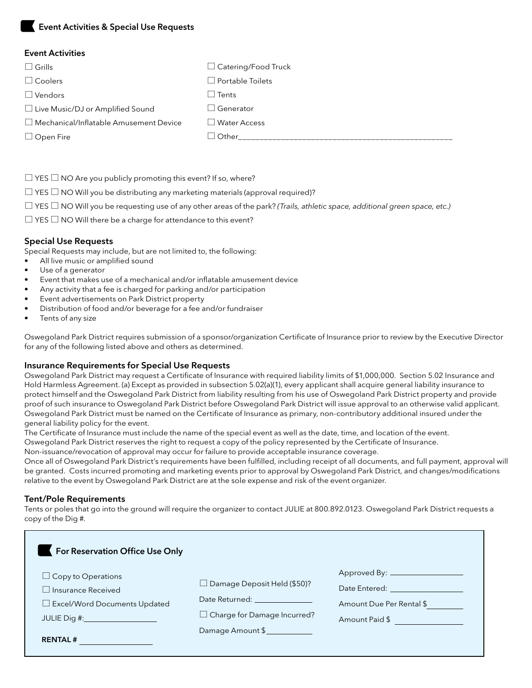# Event Activities & Special Use Requests

#### Event Activities

| $\Box$ Grills                                 | $\Box$ Catering/Food Truck            |
|-----------------------------------------------|---------------------------------------|
| $\Box$ Coolers                                | $\Box$ Portable Toilets               |
| $\Box$ Vendors                                | $\Box$ Tents                          |
| □ Live Music/DJ or Amplified Sound            | l Generator<br>$\blacksquare$         |
| $\Box$ Mechanical/Inflatable Amusement Device | <b>Water Access</b><br>$\blacksquare$ |
| $\Box$ Open Fire                              | Other                                 |
|                                               |                                       |

 $\Box$  YES  $\Box$  NO Are you publicly promoting this event? If so, where?

 $\Box$  YES  $\Box$  NO Will you be distributing any marketing materials (approval required)?

YES NO Will you be requesting use of any other areas of the park? *(Trails, athletic space, additional green space, etc.)*

 $\Box$  YES  $\Box$  NO Will there be a charge for attendance to this event?

#### Special Use Requests

Special Requests may include, but are not limited to, the following:

- All live music or amplified sound
- Use of a generator
- Event that makes use of a mechanical and/or inflatable amusement device
- Any activity that a fee is charged for parking and/or participation
- Event advertisements on Park District property
- Distribution of food and/or beverage for a fee and/or fundraiser
- Tents of any size

Oswegoland Park District requires submission of a sponsor/organization Certificate of Insurance prior to review by the Executive Director for any of the following listed above and others as determined.

#### Insurance Requirements for Special Use Requests

Oswegoland Park District may request a Certificate of Insurance with required liability limits of \$1,000,000. Section 5.02 Insurance and Hold Harmless Agreement. (a) Except as provided in subsection 5.02(a)(1), every applicant shall acquire general liability insurance to protect himself and the Oswegoland Park District from liability resulting from his use of Oswegoland Park District property and provide proof of such insurance to Oswegoland Park District before Oswegoland Park District will issue approval to an otherwise valid applicant. Oswegoland Park District must be named on the Certificate of Insurance as primary, non-contributory additional insured under the general liability policy for the event.

The Certificate of Insurance must include the name of the special event as well as the date, time, and location of the event.

Oswegoland Park District reserves the right to request a copy of the policy represented by the Certificate of Insurance.

Non-issuance/revocation of approval may occur for failure to provide acceptable insurance coverage.

Once all of Oswegoland Park District's requirements have been fulfilled, including receipt of all documents, and full payment, approval will be granted. Costs incurred promoting and marketing events prior to approval by Oswegoland Park District, and changes/modifications relative to the event by Oswegoland Park District are at the sole expense and risk of the event organizer.

#### Tent/Pole Requirements

Tents or poles that go into the ground will require the organizer to contact JULIE at 800.892.0123. Oswegoland Park District requests a copy of the Dig #.

| For Reservation Office Use Only        |                                                                                                                                                                                                                                |                                   |
|----------------------------------------|--------------------------------------------------------------------------------------------------------------------------------------------------------------------------------------------------------------------------------|-----------------------------------|
| $\Box$ Copy to Operations              |                                                                                                                                                                                                                                |                                   |
| Insurance Received                     | $\Box$ Damage Deposit Held (\$50)?                                                                                                                                                                                             | Date Entered: <b>Example 2019</b> |
| $\square$ Excel/Word Documents Updated | Date Returned: The Contract of the Contract of the Contract of the Contract of the Contract of the Contract of the Contract of the Contract of the Contract of the Contract of the Contract of the Contract of the Contract of | Amount Due Per Rental \$          |
| JULIE Dig #: ___________________       | $\Box$ Charge for Damage Incurred?                                                                                                                                                                                             | Amount Paid \$                    |
|                                        | Damage Amount \$                                                                                                                                                                                                               |                                   |
| <b>RENTAL#</b>                         |                                                                                                                                                                                                                                |                                   |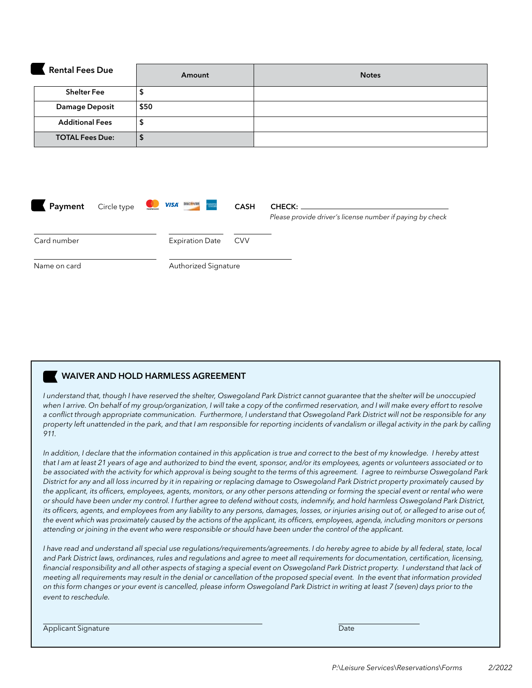| <b>Rental Fees Due</b> | Amount | <b>Notes</b> |
|------------------------|--------|--------------|
| <b>Shelter Fee</b>     |        |              |
| <b>Damage Deposit</b>  | \$50   |              |
| <b>Additional Fees</b> | ₽      |              |
| <b>TOTAL Fees Due:</b> | D      |              |

| Payment      | Circle type | mostercord | pacters.<br><b>VISA</b><br>omeren<br>Estlek | <b>CASH</b> | <b>CHECK:</b><br>Please provide driver's license number if paying by check |
|--------------|-------------|------------|---------------------------------------------|-------------|----------------------------------------------------------------------------|
| Card number  |             |            | <b>Expiration Date</b>                      | <b>CVV</b>  |                                                                            |
| Name on card |             |            | Authorized Signature                        |             |                                                                            |

## WAIVER AND HOLD HARMLESS AGREEMENT

*I understand that, though I have reserved the shelter, Oswegoland Park District cannot guarantee that the shelter will be unoccupied*  when I arrive. On behalf of my group/organization, I will take a copy of the confirmed reservation, and I will make every effort to resolve *a conflict through appropriate communication. Furthermore, I understand that Oswegoland Park District will not be responsible for any property left unattended in the park, and that I am responsible for reporting incidents of vandalism or illegal activity in the park by calling 911.* 

*In addition, I declare that the information contained in this application is true and correct to the best of my knowledge. I hereby attest that I am at least 21 years of age and authorized to bind the event, sponsor, and/or its employees, agents or volunteers associated or to be associated with the activity for which approval is being sought to the terms of this agreement. I agree to reimburse Oswegoland Park District for any and all loss incurred by it in repairing or replacing damage to Oswegoland Park District property proximately caused by the applicant, its officers, employees, agents, monitors, or any other persons attending or forming the special event or rental who were or should have been under my control. I further agree to defend without costs, indemnify, and hold harmless Oswegoland Park District,*  its officers, agents, and employees from any liability to any persons, damages, losses, or injuries arising out of, or alleged to arise out of, *the event which was proximately caused by the actions of the applicant, its officers, employees, agenda, including monitors or persons attending or joining in the event who were responsible or should have been under the control of the applicant.*

*I have read and understand all special use regulations/requirements/agreements. I do hereby agree to abide by all federal, state, local and Park District laws, ordinances, rules and regulations and agree to meet all requirements for documentation, certification, licensing, financial responsibility and all other aspects of staging a special event on Oswegoland Park District property. I understand that lack of meeting all requirements may result in the denial or cancellation of the proposed special event. In the event that information provided on this form changes or your event is cancelled, please inform Oswegoland Park District in writing at least 7 (seven) days prior to the event to reschedule.*

Applicant Signature Date of the Date of the Date of the Date of the Date of the Date of the Date of the Date o